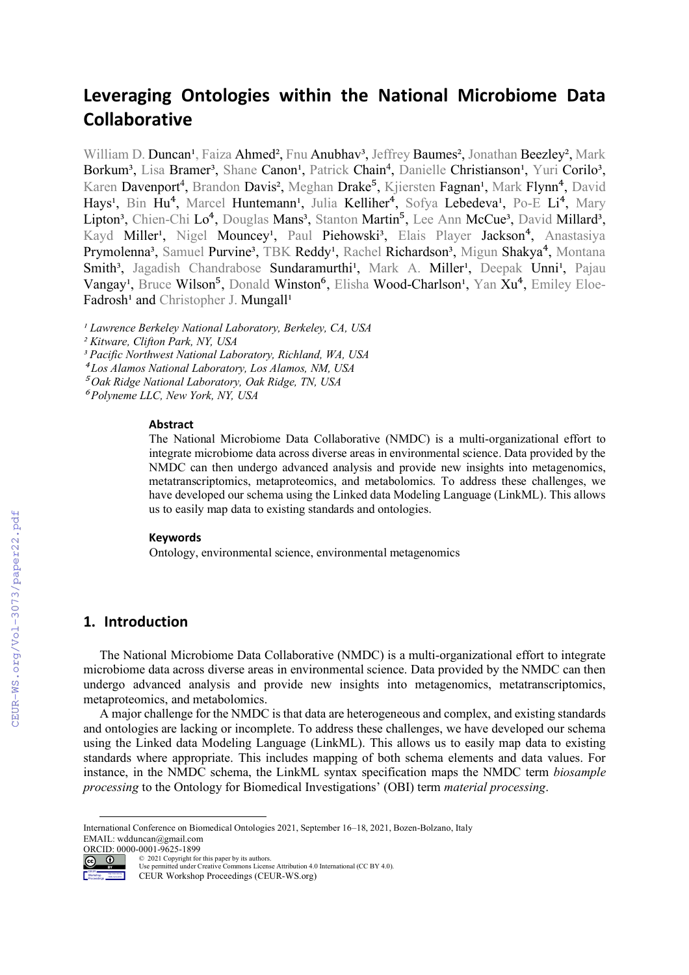# **Leveraging Ontologies within the National Microbiome Data Collaborative**

William D. Duncan<sup>1</sup>, Faiza Ahmed<sup>2</sup>, Fnu Anubhav<sup>3</sup>, Jeffrey Baumes<sup>2</sup>, Jonathan Beezley<sup>2</sup>, Mark Borkum<sup>3</sup>, Lisa Bramer<sup>3</sup>, Shane Canon<sup>1</sup>, Patrick Chain<sup>4</sup>, Danielle Christianson<sup>1</sup>, Yuri Corilo<sup>3</sup>, Karen Davenport<sup>4</sup>, Brandon Davis<sup>2</sup>, Meghan Drake<sup>5</sup>, Kjiersten Fagnan<sup>1</sup>, Mark Flynn<sup>4</sup>, David Hays<sup>1</sup>, Bin Hu<sup>4</sup>, Marcel Huntemann<sup>1</sup>, Julia Kelliher<sup>4</sup>, Sofya Lebedeva<sup>1</sup>, Po-E Li<sup>4</sup>, Mary Lipton<sup>3</sup>, Chien-Chi Lo<sup>4</sup>, Douglas Mans<sup>3</sup>, Stanton Martin<sup>5</sup>, Lee Ann McCue<sup>3</sup>, David Millard<sup>3</sup>, Kayd Miller<sup>1</sup>, Nigel Mouncey<sup>1</sup>, Paul Piehowski<sup>3</sup>, Elais Player Jackson<sup>4</sup>, Anastasiya Prymolenna<sup>3</sup>, Samuel Purvine<sup>3</sup>, TBK Reddy<sup>1</sup>, Rachel Richardson<sup>3</sup>, Migun Shakya<sup>4</sup>, Montana Smith<sup>3</sup>, Jagadish Chandrabose Sundaramurthi<sup>1</sup>, Mark A. Miller<sup>1</sup>, Deepak Unni<sup>1</sup>, Pajau Vangay<sup>1</sup>, Bruce Wilson<sup>5</sup>, Donald Winston<sup>6</sup>, Elisha Wood-Charlson<sup>1</sup>, Yan Xu<sup>4</sup>, Emiley Eloe-Fadrosh<sup>1</sup> and Christopher J. Mungall<sup>1</sup>

*¹ Lawrence Berkeley National Laboratory, Berkeley, CA, USA*

*² Kitware, Clifton Park, NY, USA*

*³ Pacific Northwest National Laboratory, Richland, WA, USA*

⁴ *Los Alamos National Laboratory, Los Alamos, NM, USA*

⁵ *Oak Ridge National Laboratory, Oak Ridge, TN, USA*

⁶ *Polyneme LLC, New York, NY, USA*

#### **Abstract**

The National Microbiome Data Collaborative (NMDC) is a multi-organizational effort to integrate microbiome data across diverse areas in environmental science. Data provided by the NMDC can then undergo advanced analysis and provide new insights into metagenomics, metatranscriptomics, metaproteomics, and metabolomics. To address these challenges, we have developed our schema using the Linked data Modeling Language (LinkML). This allows us to easily map data to existing standards and ontologies.

#### **Keywords**

Ontology, environmental science, environmental metagenomics

### **1. Introduction**

The National Microbiome Data Collaborative (NMDC) is a multi-organizational effort to integrate microbiome data across diverse areas in environmental science. Data provided by the NMDC can then undergo advanced analysis and provide new insights into metagenomics, metatranscriptomics, metaproteomics, and metabolomics.

A major challenge for the NMDC is that data are heterogeneous and complex, and existing standards and ontologies are lacking or incomplete. To address these challenges, we have developed our schema using the Linked data Modeling Language (LinkML). This allows us to easily map data to existing standards where appropriate. This includes mapping of both schema elements and data values. For instance, in the NMDC schema, the LinkML syntax specification maps the NMDC term *biosample processing* to the Ontology for Biomedical Investigations' (OBI) term *material processing*.

International Conference on Biomedical Ontologies 2021, September 16–18, 2021, Bozen-Bolzano, Italy EMAIL: wdduncan@gmail.com ORCID: 0000-0001-9625-1899



Proceedings

© 2021 Copyright for this paper by its authors. Use permitted under Creative Commons License Attribution 4.0 International (CC BY 4.0).

CEUR Workshop Proceedings (CEUR-WS.org)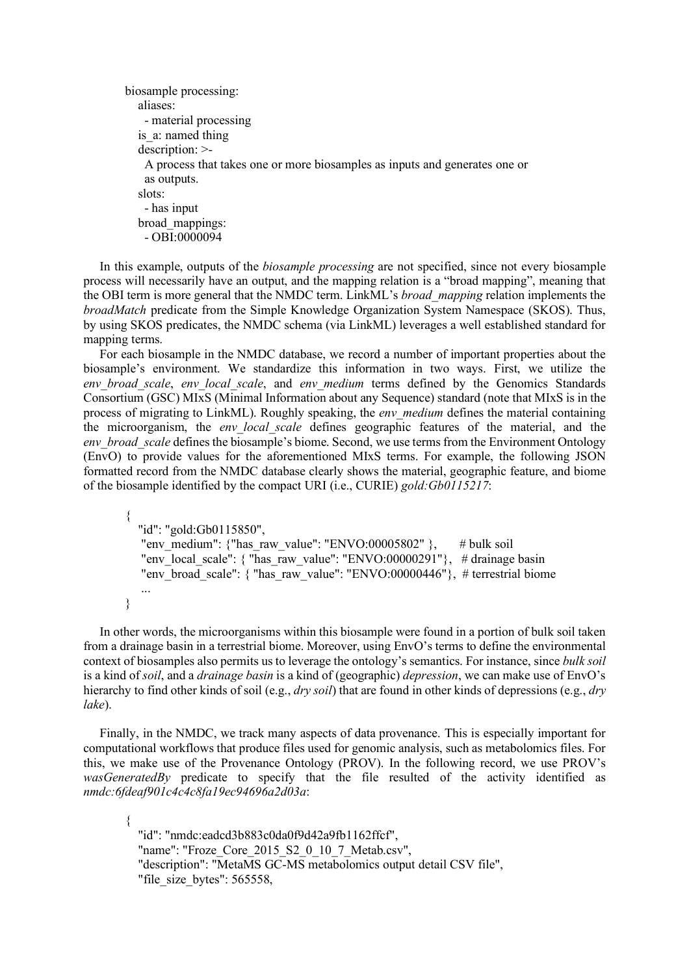```
biosample processing:
   aliases:
    - material processing
  is a: named thing
  description: >-
     A process that takes one or more biosamples as inputs and generates one or
    as outputs.
   slots:
     - has input
   broad_mappings:
     - OBI:0000094
```
In this example, outputs of the *biosample processing* are not specified, since not every biosample process will necessarily have an output, and the mapping relation is a "broad mapping", meaning that the OBI term is more general that the NMDC term. LinkML's *broad\_mapping* relation implements the *broadMatch* predicate from the Simple Knowledge Organization System Namespace (SKOS). Thus, by using SKOS predicates, the NMDC schema (via LinkML) leverages a well established standard for mapping terms.

For each biosample in the NMDC database, we record a number of important properties about the biosample's environment. We standardize this information in two ways. First, we utilize the *env\_broad\_scale*, *env\_local\_scale*, and *env\_medium* terms defined by the Genomics Standards Consortium (GSC) MIxS (Minimal Information about any Sequence) standard (note that MIxS is in the process of migrating to LinkML). Roughly speaking, the *env\_medium* defines the material containing the microorganism, the *env\_local\_scale* defines geographic features of the material, and the *env\_broad\_scale* defines the biosample's biome. Second, we use terms from the Environment Ontology (EnvO) to provide values for the aforementioned MIxS terms. For example, the following JSON formatted record from the NMDC database clearly shows the material, geographic feature, and biome of the biosample identified by the compact URI (i.e., CURIE) *gold:Gb0115217*:

```
{
   "id": "gold:Gb0115850",
  "env_medium": {"has_raw_value": "ENVO:00005802" }, # bulk soil
   "env_local_scale": { "has_raw_value": "ENVO:00000291"}, # drainage basin
  "env_broad_scale": { "has_raw_value": "ENVO:00000446"}, # terrestrial biome
   ...
}
```
In other words, the microorganisms within this biosample were found in a portion of bulk soil taken from a drainage basin in a terrestrial biome. Moreover, using EnvO's terms to define the environmental context of biosamples also permits us to leverage the ontology's semantics. For instance, since *bulk soil*  is a kind of *soil*, and a *drainage basin* is a kind of (geographic) *depression*, we can make use of EnvO's hierarchy to find other kinds of soil (e.g., *dry soil*) that are found in other kinds of depressions (e.g., *dry lake*).

Finally, in the NMDC, we track many aspects of data provenance. This is especially important for computational workflows that produce files used for genomic analysis, such as metabolomics files. For this, we make use of the Provenance Ontology (PROV). In the following record, we use PROV's *wasGeneratedBy* predicate to specify that the file resulted of the activity identified as *nmdc:6fdeaf901c4c4c8fa19ec94696a2d03a*:

{ "id": "nmdc:eadcd3b883c0da0f9d42a9fb1162ffcf", "name": "Froze\_Core\_2015\_S2\_0\_10\_7\_Metab.csv", "description": "MetaMS GC-MS metabolomics output detail CSV file", "file\_size\_bytes": 565558,